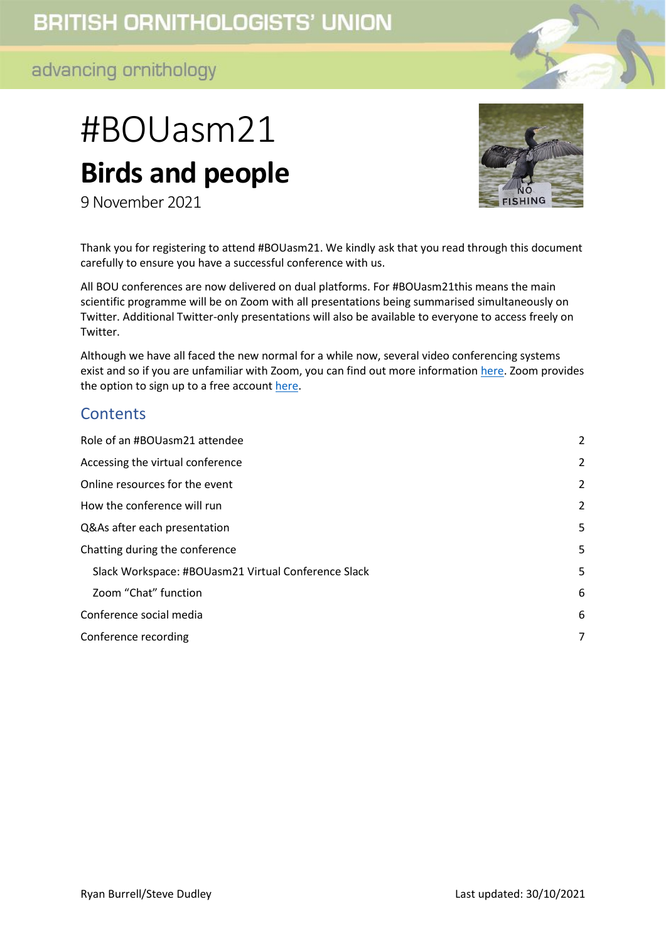# **BRITISH ORNITHOLOGISTS' UNION**

## advancing ornithology

# #BOUasm21 **Birds and people**

9 November 2021



Thank you for registering to attend #BOUasm21. We kindly ask that you read through this document carefully to ensure you have a successful conference with us.

All BOU conferences are now delivered on dual platforms. For #BOUasm21this means the main scientific programme will be on Zoom with all presentations being summarised simultaneously on Twitter. Additional Twitter-only presentations will also be available to everyone to access freely on Twitter.

Although we have all faced the new normal for a while now, several video conferencing systems exist and so if you are unfamiliar with Zoom, you can find out more information [here.](https://support.zoom.us/hc/en-us/categories/200101697-Getting-Started) Zoom provides the option to sign up to a free account [here.](https://zoom.us/pricing)

#### **Contents**

| Role of an #BOUasm21 attendee                       | $\overline{2}$ |
|-----------------------------------------------------|----------------|
| Accessing the virtual conference                    | 2              |
| Online resources for the event                      | 2              |
| How the conference will run                         | 2              |
| Q&As after each presentation                        | 5              |
| Chatting during the conference                      | 5              |
| Slack Workspace: #BOUasm21 Virtual Conference Slack | 5              |
| Zoom "Chat" function                                | 6              |
| Conference social media                             | 6              |
| Conference recording                                | 7              |
|                                                     |                |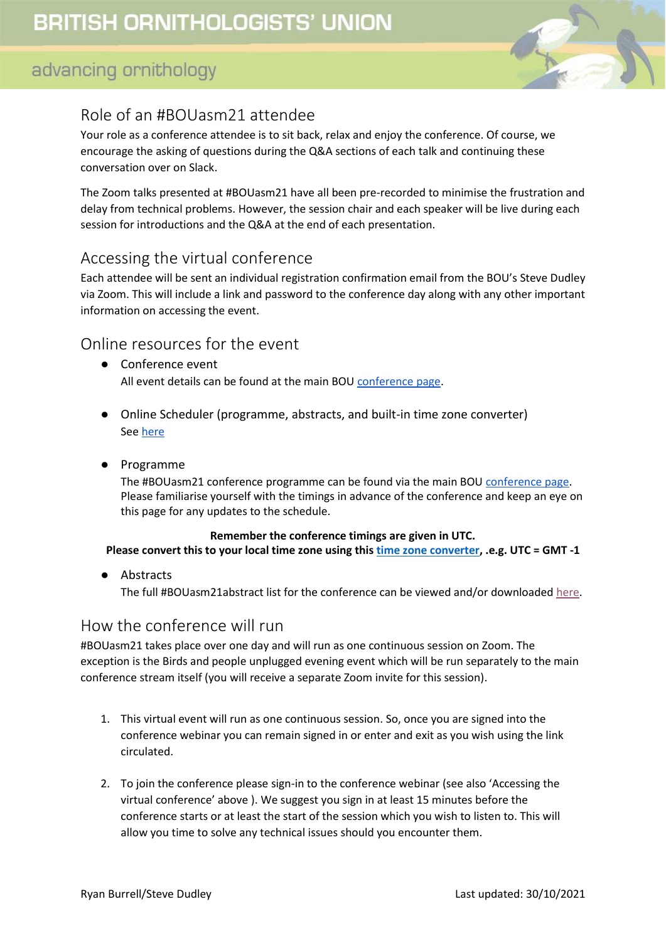

## <span id="page-1-0"></span>Role of an #BOUasm21 attendee

Your role as a conference attendee is to sit back, relax and enjoy the conference. Of course, we encourage the asking of questions during the Q&A sections of each talk and continuing these conversation over on Slack.

The Zoom talks presented at #BOUasm21 have all been pre-recorded to minimise the frustration and delay from technical problems. However, the session chair and each speaker will be live during each session for introductions and the Q&A at the end of each presentation.

## <span id="page-1-1"></span>Accessing the virtual conference

Each attendee will be sent an individual registration confirmation email from the BOU's Steve Dudley via Zoom. This will include a link and password to the conference day along with any other important information on accessing the event.

#### <span id="page-1-2"></span>Online resources for the event

- Conference event All event details can be found at the main BOU [conference page.](https://bou.org.uk/event/birds-and-people-conflicts-and-resolutions/)
- Online Scheduler (programme, abstracts, and built-in time zone converter) Se[e here](https://bouibis.shinyapps.io/BOU2021_Scheduler-master/)
- Programme

The #BOUasm21 conference programme can be found via the main BOU [conference page.](https://bou.org.uk/event/birds-and-people-conflicts-and-resolutions/) Please familiarise yourself with the timings in advance of the conference and keep an eye on this page for any updates to the schedule.

#### **Remember the conference timings are given in UTC.**

**Please convert this to your local time zone using thi[s time zone converter,](https://www.timeanddate.com/worldclock/converter.html) .e.g. UTC = GMT -1**

Abstracts

The full #BOUasm21abstract list for the conference can be viewed and/or downloaded [here.](https://bou.org.uk/wp-content/uploads/2021/09/BOUasm21-Zoom-programme-for-web-2021-09-29.pdf)

#### <span id="page-1-3"></span>How the conference will run

#BOUasm21 takes place over one day and will run as one continuous session on Zoom. The exception is the Birds and people unplugged evening event which will be run separately to the main conference stream itself (you will receive a separate Zoom invite for this session).

- 1. This virtual event will run as one continuous session. So, once you are signed into the conference webinar you can remain signed in or enter and exit as you wish using the link circulated.
- 2. To join the conference please sign-in to the conference webinar (see also 'Accessing the virtual conference' above ). We suggest you sign in at least 15 minutes before the conference starts or at least the start of the session which you wish to listen to. This will allow you time to solve any technical issues should you encounter them.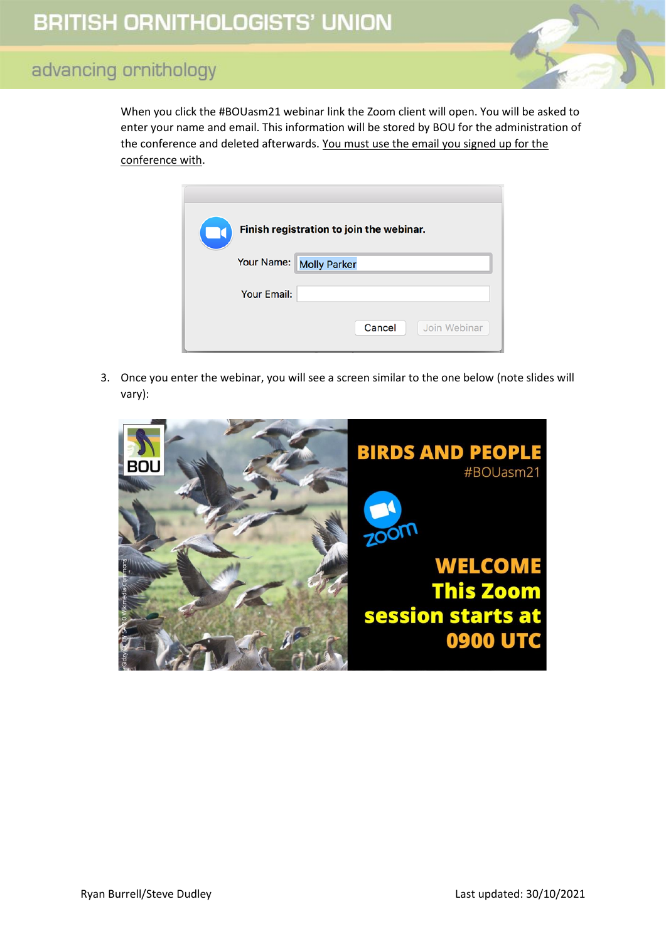When you click the #BOUasm21 webinar link the Zoom client will open. You will be asked to enter your name and email. This information will be stored by BOU for the administration of the conference and deleted afterwards. You must use the email you signed up for the conference with.

| Finish registration to join the webinar. |                         |  |
|------------------------------------------|-------------------------|--|
|                                          | Your Name: Molly Parker |  |
| <b>Your Email:</b>                       |                         |  |
|                                          | Join Webinar<br>Cancel  |  |

3. Once you enter the webinar, you will see a screen similar to the one below (note slides will vary):

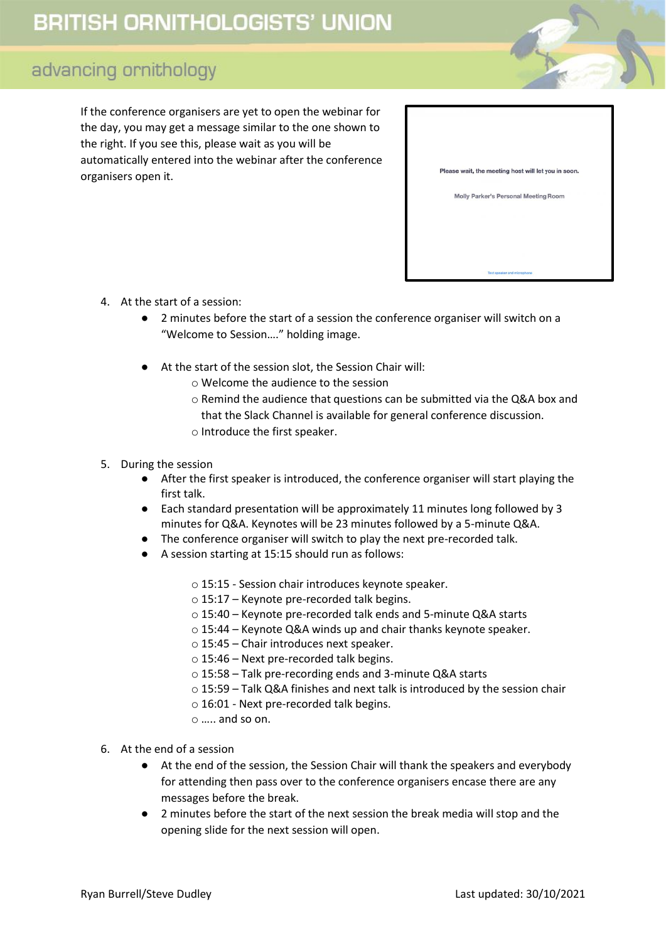# **BRITISH ORNITHOLOGISTS' UNION**

## advancing ornithology

If the conference organisers are yet to open the webinar for the day, you may get a message similar to the one shown to the right. If you see this, please wait as you will be automatically entered into the webinar after the conference organisers open it.

| Please wait, the meeting host will let you in soon. |
|-----------------------------------------------------|
| Molly Parker's Personal Meeting Room                |
|                                                     |
|                                                     |
|                                                     |
|                                                     |
| Test speaker and microphone                         |

- 4. At the start of a session:
	- 2 minutes before the start of a session the conference organiser will switch on a "Welcome to Session…." holding image.
	- At the start of the session slot, the Session Chair will:
		- o Welcome the audience to the session
		- o Remind the audience that questions can be submitted via the Q&A box and that the Slack Channel is available for general conference discussion.
		- o Introduce the first speaker.

#### 5. During the session

- After the first speaker is introduced, the conference organiser will start playing the first talk.
- Each standard presentation will be approximately 11 minutes long followed by 3 minutes for Q&A. Keynotes will be 23 minutes followed by a 5-minute Q&A.
- The conference organiser will switch to play the next pre-recorded talk.
- A session starting at 15:15 should run as follows:
	- o 15:15 Session chair introduces keynote speaker.
	- o 15:17 Keynote pre-recorded talk begins.
	- o 15:4️0 Keynote pre-recorded talk ends and 5-minute Q&A starts
	- o 15:44 Keynote Q&A winds up and chair thanks keynote speaker.
	- o 15:45 Chair introduces next speaker.
	- $\circ$  15:46 Next pre-recorded talk begins.
	- o 15:58 Talk pre-recording ends and 3-minute Q&A starts
	- o 15:59 Talk Q&A finishes and next talk is introduced by the session chair
	- o 16:01 Next pre-recorded talk begins.
	- o ….. and so on.
- 6. At the end of a session
	- At the end of the session, the Session Chair will thank the speakers and everybody for attending then pass over to the conference organisers encase there are any messages before the break.
	- 2 minutes before the start of the next session the break media will stop and the opening slide for the next session will open.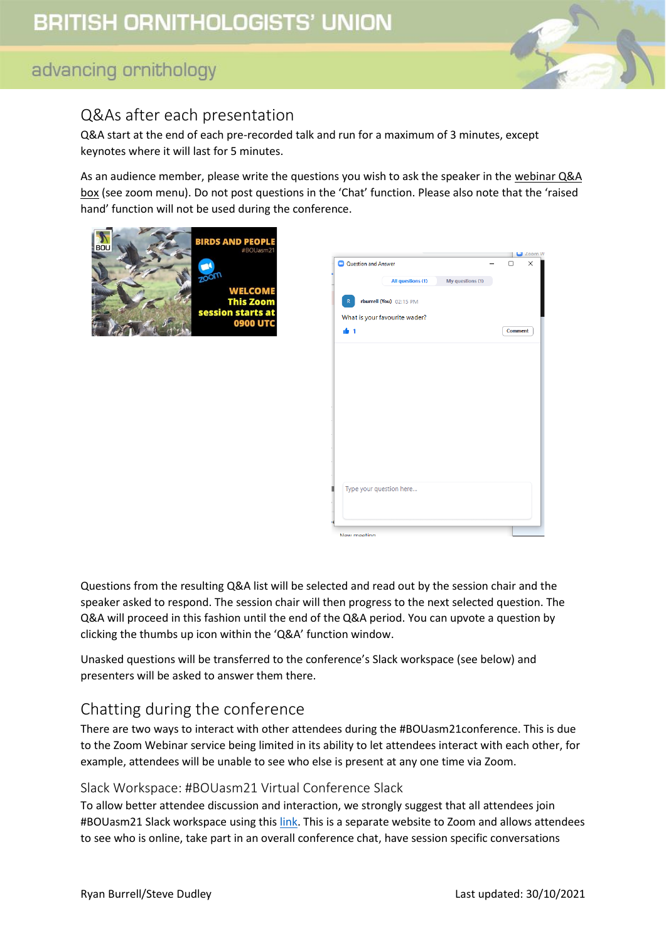

## <span id="page-4-0"></span>Q&As after each presentation

Q&A start at the end of each pre-recorded talk and run for a maximum of 3 minutes, except keynotes where it will last for 5 minutes.

As an audience member, please write the questions you wish to ask the speaker in the webinar Q&A box (see zoom menu). Do not post questions in the 'Chat' function. Please also note that the 'raised hand' function will not be used during the conference.





Questions from the resulting Q&A list will be selected and read out by the session chair and the speaker asked to respond. The session chair will then progress to the next selected question. The Q&A will proceed in this fashion until the end of the Q&A period. You can upvote a question by clicking the thumbs up icon within the 'Q&A' function window.

Unasked questions will be transferred to the conference's Slack workspace (see below) and presenters will be asked to answer them there.

## <span id="page-4-1"></span>Chatting during the conference

There are two ways to interact with other attendees during the #BOUasm21conference. This is due to the Zoom Webinar service being limited in its ability to let attendees interact with each other, for example, attendees will be unable to see who else is present at any one time via Zoom.

#### <span id="page-4-2"></span>Slack Workspace: #BOUasm21 Virtual Conference Slack

To allow better attendee discussion and interaction, we strongly suggest that all attendees join #BOUasm21 Slack workspace using this [link.](https://bit.ly/BOUasm21JoinSlack) This is a separate website to Zoom and allows attendees to see who is online, take part in an overall conference chat, have session specific conversations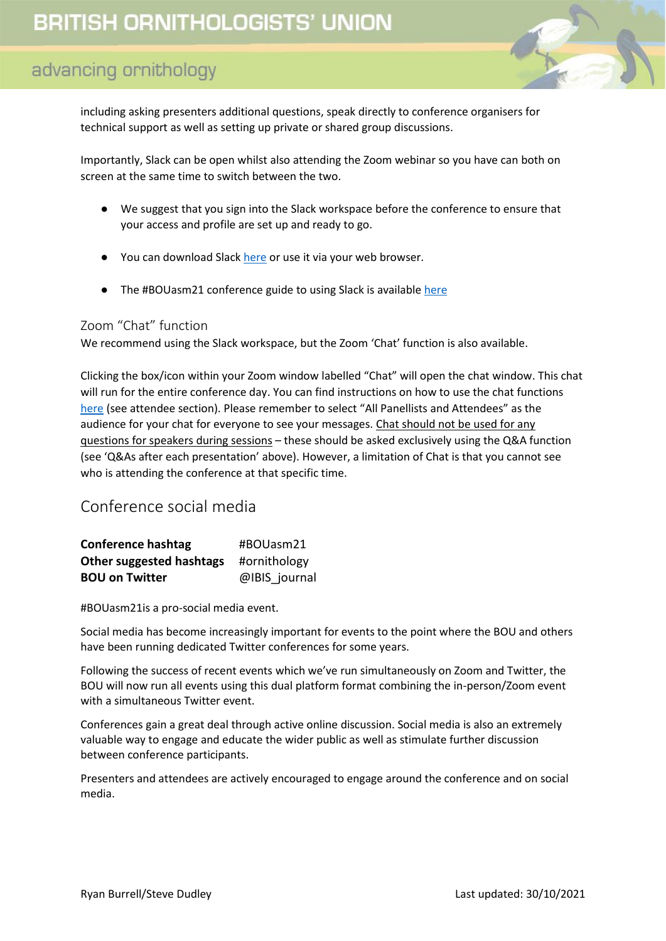including asking presenters additional questions, speak directly to conference organisers for technical support as well as setting up private or shared group discussions.

Importantly, Slack can be open whilst also attending the Zoom webinar so you have can both on screen at the same time to switch between the two.

- We suggest that you sign into the Slack workspace before the conference to ensure that your access and profile are set up and ready to go.
- You can download Slack [here](https://slack.com/intl/en-gb/help/categories/360000049043) or use it via your web browser.
- The #BOUasm21 conference guide to using Slack is available [here](https://drive.google.com/file/d/1u0i8lKqnBh1FNvKMepR-eaQN0VKIrcdL/view?usp=sharing)

#### <span id="page-5-0"></span>Zoom "Chat" function

We recommend using the Slack workspace, but the Zoom 'Chat' function is also available.

Clicking the box/icon within your Zoom window labelled "Chat" will open the chat window. This chat will run for the entire conference day. You can find instructions on how to use the chat functions [here](https://support.zoom.us/hc/en-us/articles/205761999-Using-webinar-chat) (see attendee section). Please remember to select "All Panellists and Attendees" as the audience for your chat for everyone to see your messages. Chat should not be used for any questions for speakers during sessions – these should be asked exclusively using the Q&A function (see 'Q&As after each presentation' above). However, a limitation of Chat is that you cannot see who is attending the conference at that specific time.

#### <span id="page-5-1"></span>Conference social media

| <b>Conference hashtag</b> | #BOUasm21     |
|---------------------------|---------------|
| Other suggested hashtags  | #ornithology  |
| <b>BOU on Twitter</b>     | @IBIS journal |

#BOUasm21is a pro-social media event.

Social media has become increasingly important for events to the point where the BOU and others have been running dedicated Twitter conferences for some years.

Following the success of recent events which we've run simultaneously on Zoom and Twitter, the BOU will now run all events using this dual platform format combining the in-person/Zoom event with a simultaneous Twitter event.

Conferences gain a great deal through active online discussion. Social media is also an extremely valuable way to engage and educate the wider public as well as stimulate further discussion between conference participants.

Presenters and attendees are actively encouraged to engage around the conference and on social media.